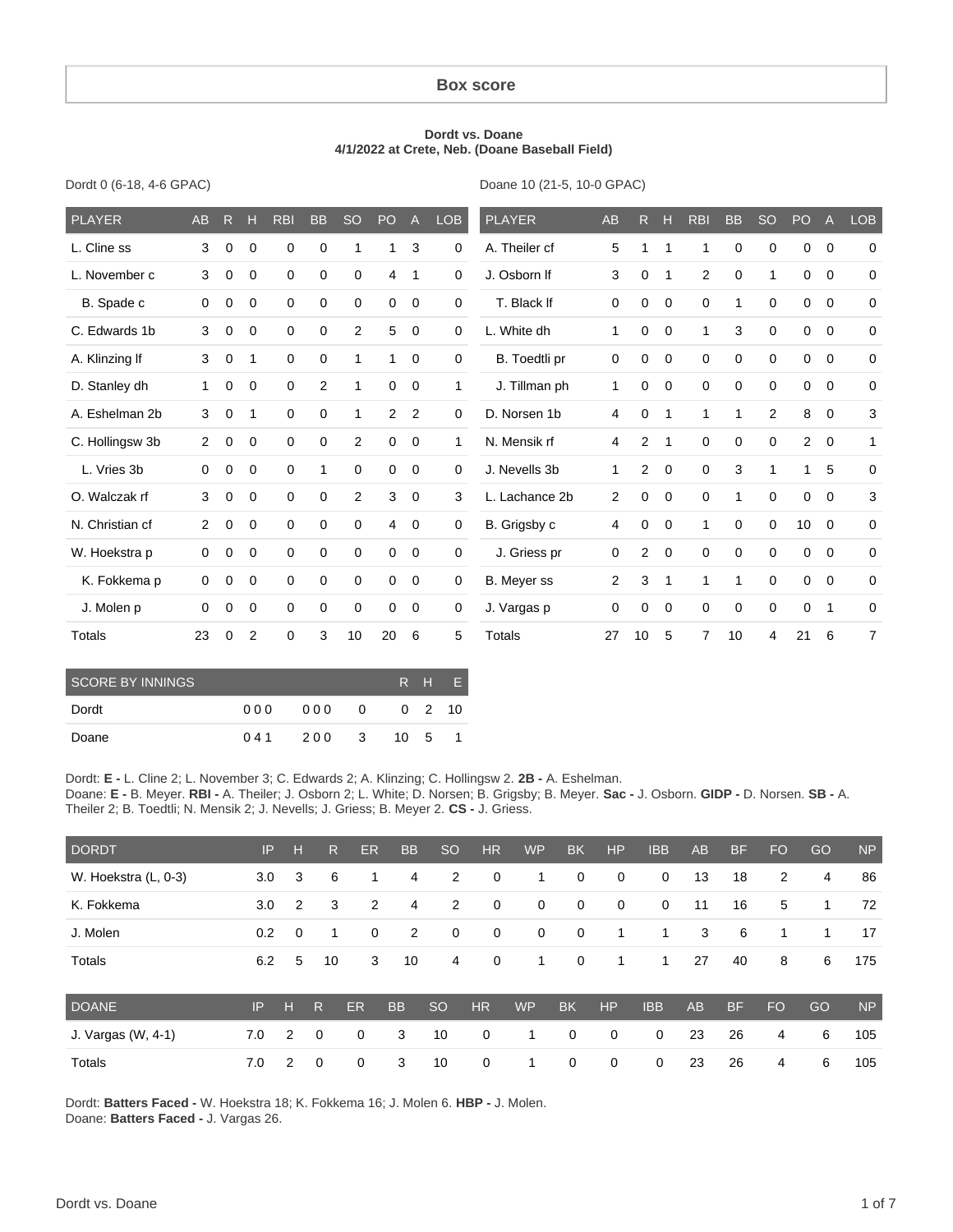#### **Box score**

#### **Dordt vs. Doane 4/1/2022 at Crete, Neb. (Doane Baseball Field)**

| Dordt 0 (6-18, 4-6 GPAC) |  |  |  |
|--------------------------|--|--|--|
|--------------------------|--|--|--|

Doane 10 (21-5, 10-0 GPAC)

| <b>PLAYER</b>           | <b>AB</b>      | $\mathsf{R}$ | н           | <b>RBI</b>  | <b>BB</b>      | <b>SO</b>      | <b>PO</b>   | $\overline{A}$ | <b>LOB</b>   | <b>PLAYER</b>      | <b>AB</b>      | R              | Н            | <b>RBI</b>     | <b>BB</b>    | <b>SO</b>      | PO          | $\mathsf{A}$   | <b>LOB</b>     |
|-------------------------|----------------|--------------|-------------|-------------|----------------|----------------|-------------|----------------|--------------|--------------------|----------------|----------------|--------------|----------------|--------------|----------------|-------------|----------------|----------------|
| L. Cline ss             | 3              | 0            | $\mathbf 0$ | $\mathbf 0$ | $\mathbf 0$    | $\mathbf 1$    | 1           | 3              | 0            | A. Theiler cf      | 5              | 1              | $\mathbf{1}$ | $\mathbf{1}$   | 0            | 0              | 0           | $\overline{0}$ | 0              |
| L. November c           | 3              | 0            | 0           | 0           | 0              | 0              | 4           | $\mathbf{1}$   | 0            | J. Osborn If       | 3              | 0              | $\mathbf 1$  | 2              | 0            | $\mathbf{1}$   | 0           | $\mathbf 0$    | 0              |
| B. Spade c              | $\mathbf 0$    | 0            | 0           | 0           | $\mathbf 0$    | 0              | 0           | 0              | 0            | T. Black If        | 0              | 0              | 0            | $\mathbf 0$    | $\mathbf{1}$ | $\mathbf 0$    | $\mathbf 0$ | $\mathbf 0$    | 0              |
| C. Edwards 1b           | 3              | 0            | 0           | 0           | $\mathbf 0$    | $\overline{2}$ | 5           | 0              | 0            | L. White dh        | $\mathbf{1}$   | 0              | 0            | $\mathbf{1}$   | 3            | $\mathbf 0$    | $\mathbf 0$ | $\mathbf 0$    | 0              |
| A. Klinzing If          | 3              | 0            | 1           | $\mathbf 0$ | 0              | 1              | 1           | 0              | 0            | B. Toedtli pr      | 0              | 0              | 0            | 0              | 0            | $\mathbf 0$    | $\mathbf 0$ | $\mathbf 0$    | 0              |
| D. Stanley dh           | $\mathbf{1}$   | 0            | 0           | $\mathbf 0$ | $\overline{2}$ | 1              | 0           | $\mathbf 0$    | 1            | J. Tillman ph      | $\mathbf{1}$   | 0              | $\mathbf 0$  | $\mathbf 0$    | 0            | $\mathbf 0$    | 0           | $\mathbf 0$    | 0              |
| A. Eshelman 2b          | 3              | 0            | 1           | 0           | 0              | 1              | 2           | 2              | 0            | D. Norsen 1b       | 4              | 0              | $\mathbf 1$  | $\mathbf{1}$   | 1            | $\overline{2}$ | 8           | $\mathbf 0$    | 3              |
| C. Hollingsw 3b         | $\overline{2}$ | 0            | $\mathbf 0$ | $\mathbf 0$ | 0              | $\overline{2}$ | 0           | $\mathbf 0$    | $\mathbf{1}$ | N. Mensik rf       | 4              | $\overline{2}$ | $\mathbf{1}$ | $\mathbf 0$    | $\mathbf 0$  | $\mathbf 0$    | 2           | $\mathbf 0$    | $\mathbf{1}$   |
| L. Vries 3b             | $\mathbf 0$    | 0            | $\mathbf 0$ | $\mathbf 0$ | 1              | $\mathbf 0$    | $\mathbf 0$ | $\mathbf 0$    | 0            | J. Nevells 3b      | $\mathbf{1}$   | 2              | $\mathbf 0$  | $\mathbf 0$    | 3            | 1              | 1           | 5              | 0              |
| O. Walczak rf           | 3              | 0            | $\mathbf 0$ | $\mathbf 0$ | $\mathbf 0$    | $\overline{2}$ | 3           | $\mathbf 0$    | 3            | L. Lachance 2b     | $\overline{2}$ | 0              | $\mathbf 0$  | $\mathbf 0$    | $\mathbf{1}$ | $\mathbf 0$    | 0           | $\mathbf 0$    | 3              |
| N. Christian cf         | $\overline{2}$ | 0            | $\mathbf 0$ | 0           | $\mathbf 0$    | 0              | 4           | $\mathbf 0$    | 0            | B. Grigsby c       | 4              | 0              | 0            | $\mathbf{1}$   | 0            | $\mathbf 0$    | 10          | $\overline{0}$ | 0              |
| W. Hoekstra p           | $\mathbf 0$    | 0            | $\mathbf 0$ | $\mathbf 0$ | $\mathbf 0$    | 0              | 0           | $\mathbf 0$    | 0            | J. Griess pr       | 0              | 2              | $\mathbf 0$  | $\mathbf 0$    | 0            | $\mathbf 0$    | $\mathbf 0$ | $\mathbf 0$    | 0              |
| K. Fokkema p            | $\mathbf 0$    | 0            | 0           | $\mathbf 0$ | $\mathbf 0$    | 0              | $\mathbf 0$ | 0              | 0            | <b>B.</b> Meyer ss | $\overline{2}$ | 3              | 1            | $\mathbf{1}$   | $\mathbf 1$  | $\mathbf 0$    | $\mathbf 0$ | $\mathbf 0$    | 0              |
| J. Molen p              | 0              | 0            | 0           | 0           | 0              | 0              | 0           | $\mathbf 0$    | 0            | J. Vargas p        | 0              | 0              | 0            | 0              | 0            | 0              | 0           | $\mathbf{1}$   | 0              |
| <b>Totals</b>           | 23             | 0            | 2           | 0           | 3              | 10             | 20          | 6              | 5            | <b>Totals</b>      | 27             | 10             | 5            | $\overline{7}$ | 10           | 4              | 21          | 6              | $\overline{7}$ |
| <b>SCORE BY INNINGS</b> |                |              |             |             |                |                |             | R<br>H         | E            |                    |                |                |              |                |              |                |             |                |                |

| <b>SCORE BY INNINGS</b> |     |       |      | IRH EI |
|-------------------------|-----|-------|------|--------|
| Dordt                   | 000 | 000 0 |      | 0 2 10 |
| Doane                   | 041 | 200 3 | 10 5 |        |

Dordt: **E -** L. Cline 2; L. November 3; C. Edwards 2; A. Klinzing; C. Hollingsw 2. **2B -** A. Eshelman. Doane: **E -** B. Meyer. **RBI -** A. Theiler; J. Osborn 2; L. White; D. Norsen; B. Grigsby; B. Meyer. **Sac -** J. Osborn. **GIDP -** D. Norsen. **SB -** A. Theiler 2; B. Toedtli; N. Mensik 2; J. Nevells; J. Griess; B. Meyer 2. **CS -** J. Griess.

| <b>DORDT</b>         | IP  | н              | $\mathsf{R}$ | ER | <b>BB</b>      | <sub>SO</sub> | <b>HR</b>   | <b>WP</b>   | <b>BK</b>   | <b>HP</b>    | <b>IBB</b>  | <b>AB</b> | <b>BF</b> | <b>FO</b> | GO | <b>NP</b> |
|----------------------|-----|----------------|--------------|----|----------------|---------------|-------------|-------------|-------------|--------------|-------------|-----------|-----------|-----------|----|-----------|
| W. Hoekstra (L, 0-3) | 3.0 | 3              | 6            | 1  | $\overline{4}$ | 2             | 0           | 1           | 0           | $\mathbf 0$  | $\mathbf 0$ | 13        | 18        | 2         | 4  | 86        |
| K. Fokkema           | 3.0 | $\overline{2}$ | 3            | 2  | 4              | 2             | 0           | $\mathbf 0$ | $\mathbf 0$ | $\mathbf{0}$ | $\mathbf 0$ | 11        | 16        | 5         | 1  | 72        |
| J. Molen             | 0.2 | 0              | -1           | 0  | 2              | $\mathbf 0$   | 0           | 0           | 0           | 1            | 1           | 3         | 6         | 1         | 1  | 17        |
| Totals               | 6.2 | 5              | 10           | 3  | 10             | 4             | 0           | 1           | $\mathbf 0$ | 1            | 1           | 27        | 40        | 8         | 6  | 175       |
| <b>DOANE</b>         | IP  | н              | R            | ER | <b>BB</b>      | <b>SO</b>     | <b>HR</b>   | <b>WP</b>   | <b>BK</b>   | HP           | <b>IBB</b>  | AB        | <b>BF</b> | <b>FO</b> | GO | <b>NP</b> |
| J. Vargas (W, 4-1)   | 7.0 | 2              | $\mathbf 0$  | 0  | 3              | 10            | $\mathbf 0$ | 1           | 0           | $\mathbf 0$  | $\mathbf 0$ | 23        | 26        | 4         | 6  | 105       |
| Totals               | 7.0 | 2              | $\mathbf 0$  | 0  | 3              | 10            | 0           | 1           | 0           | 0            | $\mathbf 0$ | 23        | 26        | 4         | 6  | 105       |

Dordt: **Batters Faced -** W. Hoekstra 18; K. Fokkema 16; J. Molen 6. **HBP -** J. Molen. Doane: **Batters Faced -** J. Vargas 26.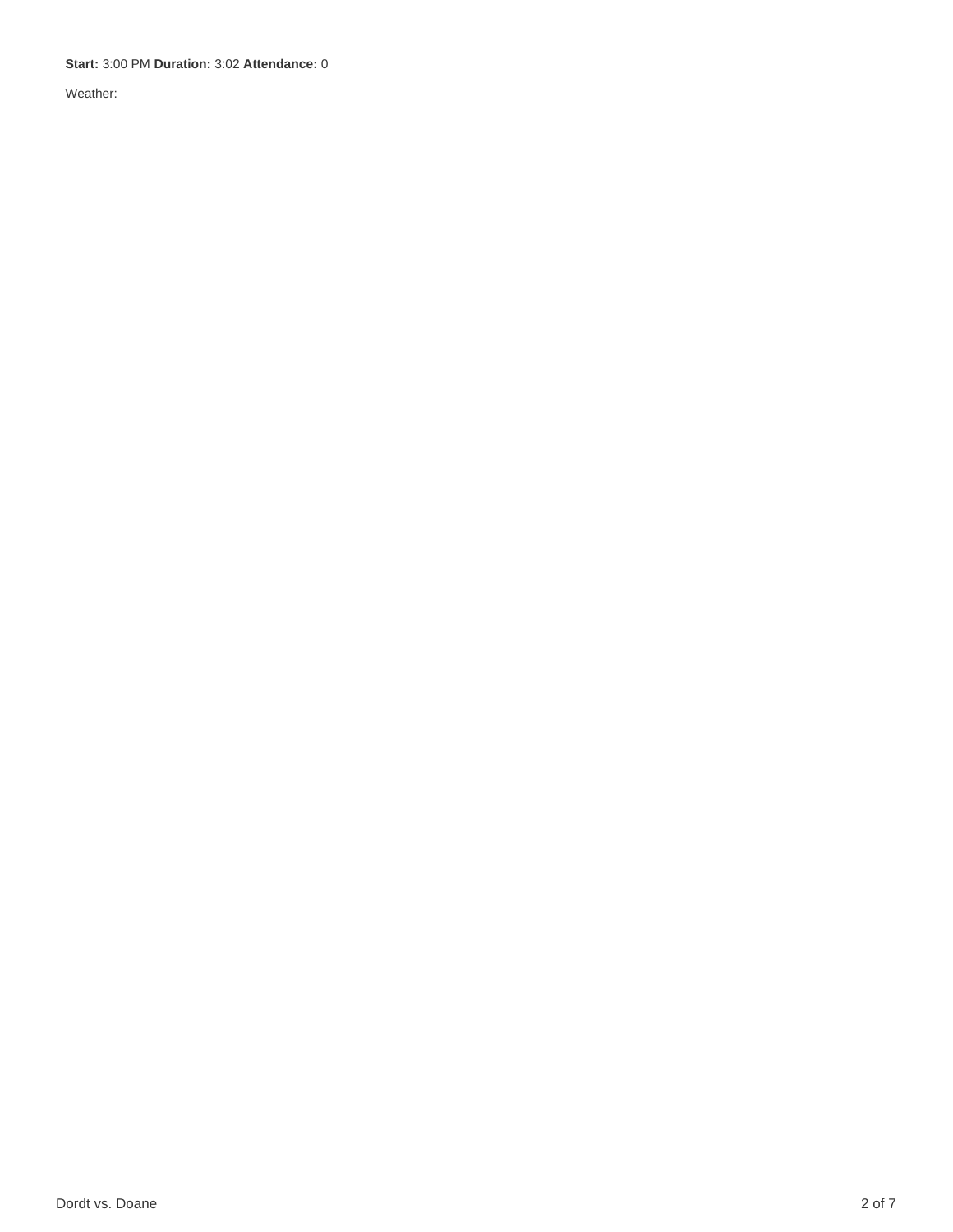**Start:** 3:00 PM **Duration:** 3:02 **Attendance:** 0

Weather: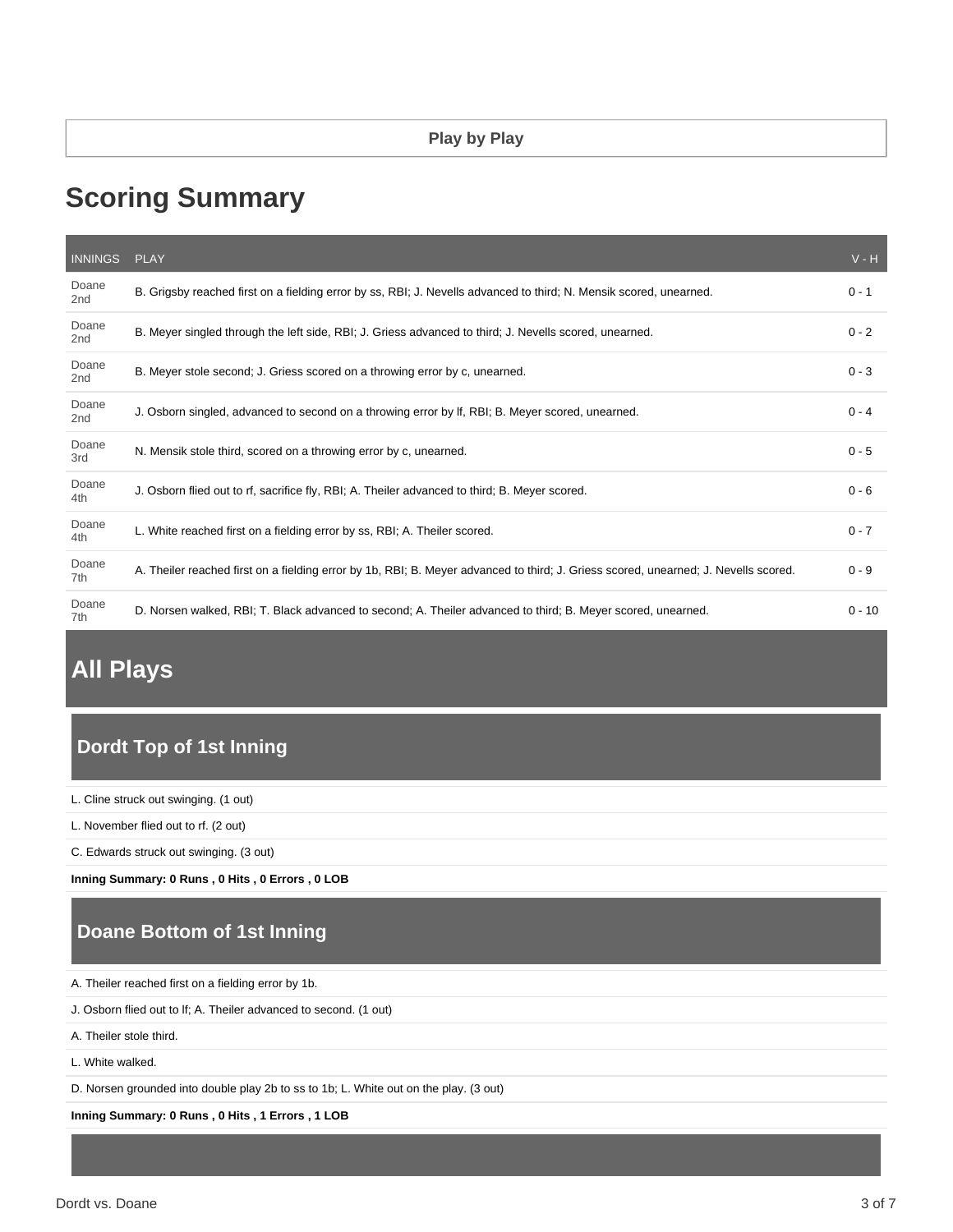# **Scoring Summary**

| <b>INNINGS</b>           | <b>PLAY</b>                                                                                                                         | $V - H$  |
|--------------------------|-------------------------------------------------------------------------------------------------------------------------------------|----------|
| Doane<br>2 <sub>nd</sub> | B. Grigsby reached first on a fielding error by ss, RBI; J. Nevells advanced to third; N. Mensik scored, unearned.                  | $0 - 1$  |
| Doane<br>2 <sub>nd</sub> | B. Meyer singled through the left side, RBI; J. Griess advanced to third; J. Nevells scored, unearned.                              | $0 - 2$  |
| Doane<br>2 <sub>nd</sub> | B. Meyer stole second; J. Griess scored on a throwing error by c, unearned.                                                         | $0 - 3$  |
| Doane<br>2 <sub>nd</sub> | J. Osborn singled, advanced to second on a throwing error by If, RBI; B. Meyer scored, unearned.                                    | $0 - 4$  |
| Doane<br>3rd             | N. Mensik stole third, scored on a throwing error by c, unearned.                                                                   | $0 - 5$  |
| Doane<br>4th             | J. Osborn flied out to rf, sacrifice fly, RBI; A. Theiler advanced to third; B. Meyer scored.                                       | $0 - 6$  |
| Doane<br>4th             | L. White reached first on a fielding error by ss, RBI; A. Theiler scored.                                                           | $0 - 7$  |
| Doane<br>7th             | A. Theiler reached first on a fielding error by 1b, RBI; B. Meyer advanced to third; J. Griess scored, unearned; J. Nevells scored. | $0 - 9$  |
| Doane<br>7th             | D. Norsen walked, RBI; T. Black advanced to second; A. Theiler advanced to third; B. Meyer scored, unearned.                        | $0 - 10$ |

# **All Plays**

## **Dordt Top of 1st Inning**

L. Cline struck out swinging. (1 out)

L. November flied out to rf. (2 out)

C. Edwards struck out swinging. (3 out)

**Inning Summary: 0 Runs , 0 Hits , 0 Errors , 0 LOB**

### **Doane Bottom of 1st Inning**

A. Theiler reached first on a fielding error by 1b.

J. Osborn flied out to lf; A. Theiler advanced to second. (1 out)

A. Theiler stole third.

L. White walked.

D. Norsen grounded into double play 2b to ss to 1b; L. White out on the play. (3 out)

**Inning Summary: 0 Runs , 0 Hits , 1 Errors , 1 LOB**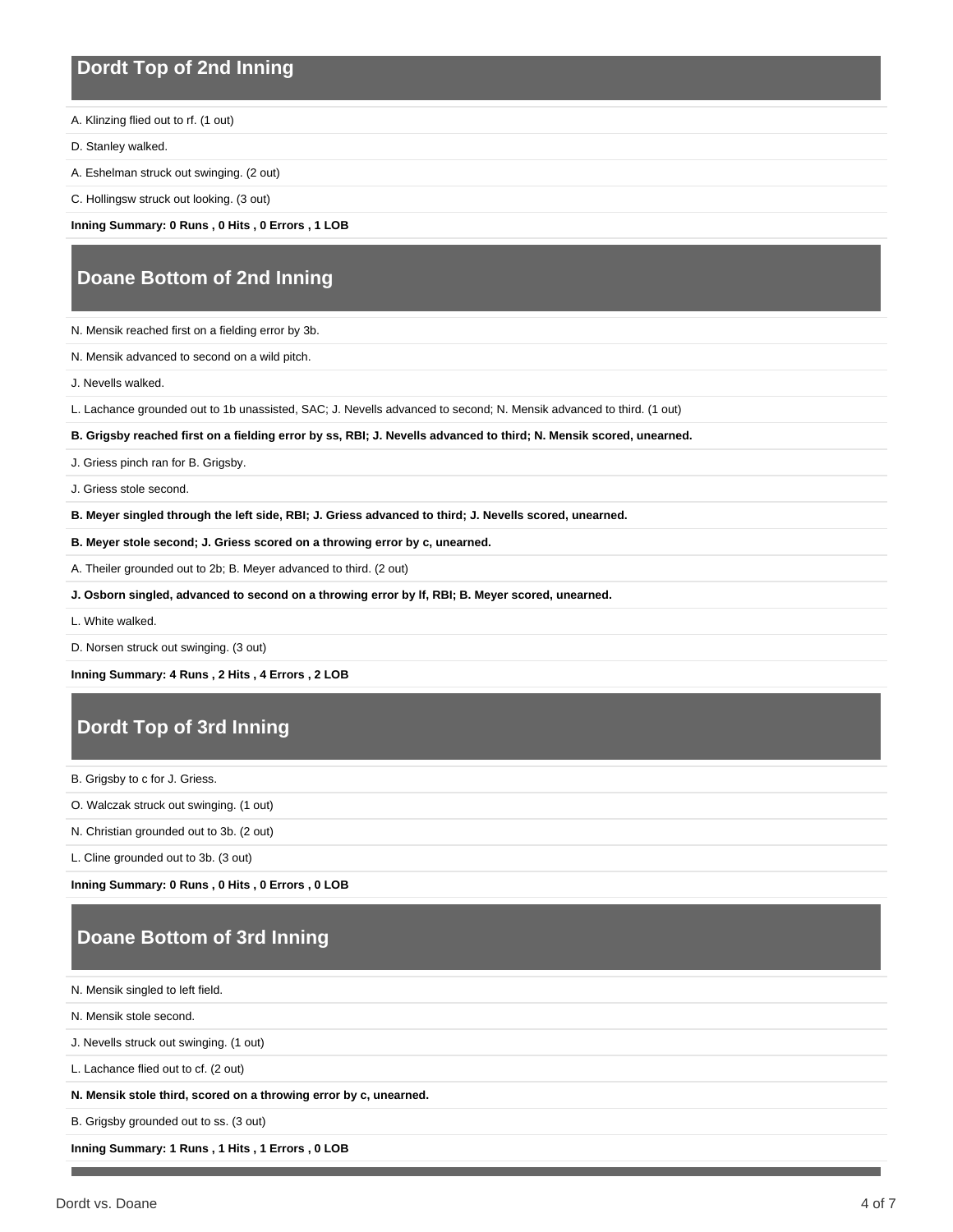### **Dordt Top of 2nd Inning**

A. Klinzing flied out to rf. (1 out)

D. Stanley walked.

A. Eshelman struck out swinging. (2 out)

C. Hollingsw struck out looking. (3 out)

**Inning Summary: 0 Runs , 0 Hits , 0 Errors , 1 LOB**

### **Doane Bottom of 2nd Inning**

N. Mensik reached first on a fielding error by 3b.

N. Mensik advanced to second on a wild pitch.

J. Nevells walked.

L. Lachance grounded out to 1b unassisted, SAC; J. Nevells advanced to second; N. Mensik advanced to third. (1 out)

**B. Grigsby reached first on a fielding error by ss, RBI; J. Nevells advanced to third; N. Mensik scored, unearned.**

J. Griess pinch ran for B. Grigsby.

J. Griess stole second.

**B. Meyer singled through the left side, RBI; J. Griess advanced to third; J. Nevells scored, unearned.**

**B. Meyer stole second; J. Griess scored on a throwing error by c, unearned.**

A. Theiler grounded out to 2b; B. Meyer advanced to third. (2 out)

**J. Osborn singled, advanced to second on a throwing error by lf, RBI; B. Meyer scored, unearned.**

L. White walked.

D. Norsen struck out swinging. (3 out)

**Inning Summary: 4 Runs , 2 Hits , 4 Errors , 2 LOB**

## **Dordt Top of 3rd Inning**

B. Grigsby to c for J. Griess.

O. Walczak struck out swinging. (1 out)

N. Christian grounded out to 3b. (2 out)

L. Cline grounded out to 3b. (3 out)

**Inning Summary: 0 Runs , 0 Hits , 0 Errors , 0 LOB**

## **Doane Bottom of 3rd Inning**

N. Mensik singled to left field.

N. Mensik stole second.

J. Nevells struck out swinging. (1 out)

L. Lachance flied out to cf. (2 out)

**N. Mensik stole third, scored on a throwing error by c, unearned.**

B. Grigsby grounded out to ss. (3 out)

**Inning Summary: 1 Runs , 1 Hits , 1 Errors , 0 LOB**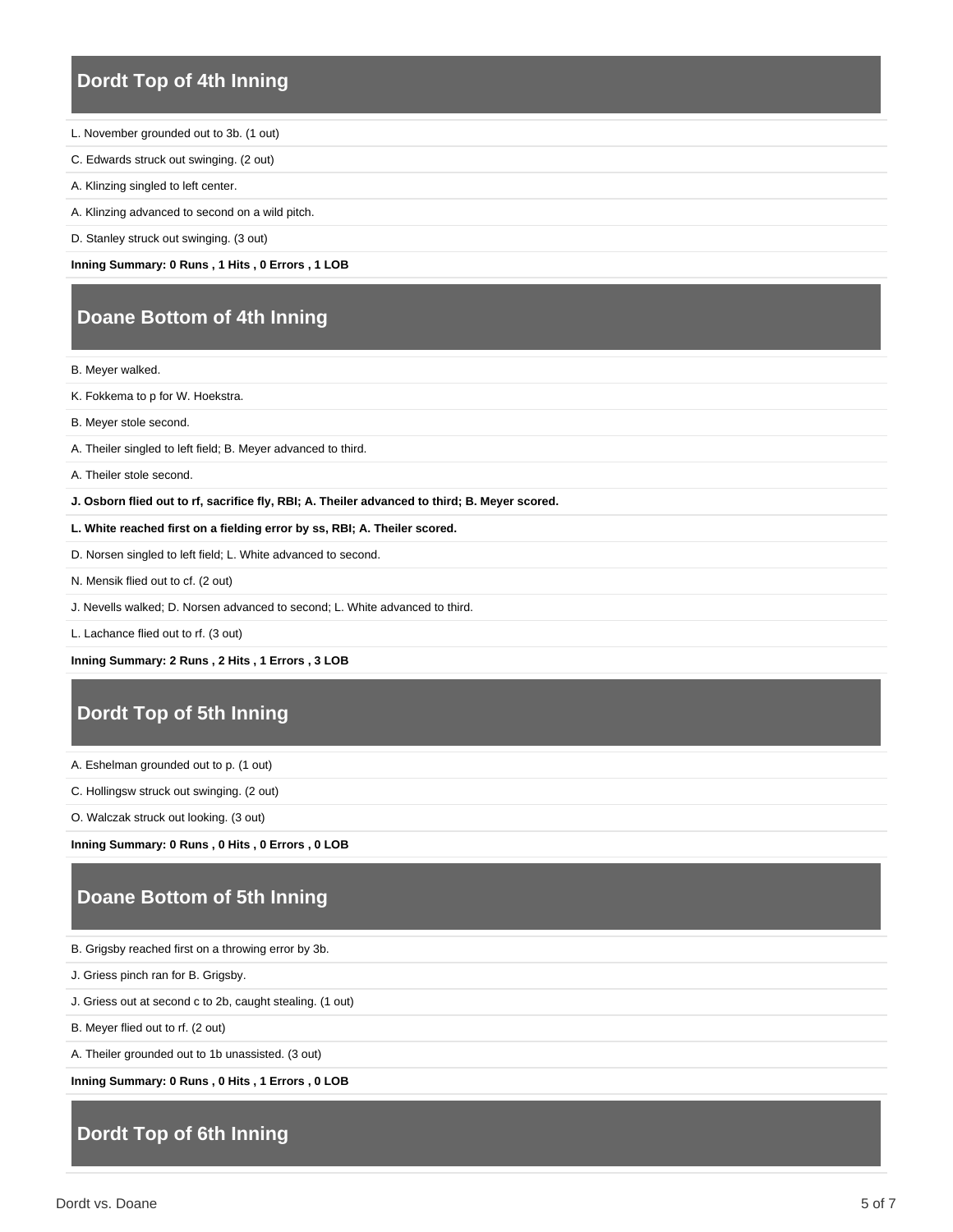### **Dordt Top of 4th Inning**

- L. November grounded out to 3b. (1 out)
- C. Edwards struck out swinging. (2 out)
- A. Klinzing singled to left center.
- A. Klinzing advanced to second on a wild pitch.
- D. Stanley struck out swinging. (3 out)

**Inning Summary: 0 Runs , 1 Hits , 0 Errors , 1 LOB**

### **Doane Bottom of 4th Inning**

B. Meyer walked.

- K. Fokkema to p for W. Hoekstra.
- B. Meyer stole second.
- A. Theiler singled to left field; B. Meyer advanced to third.
- A. Theiler stole second.
- **J. Osborn flied out to rf, sacrifice fly, RBI; A. Theiler advanced to third; B. Meyer scored.**
- **L. White reached first on a fielding error by ss, RBI; A. Theiler scored.**
- D. Norsen singled to left field; L. White advanced to second.
- N. Mensik flied out to cf. (2 out)
- J. Nevells walked; D. Norsen advanced to second; L. White advanced to third.

L. Lachance flied out to rf. (3 out)

**Inning Summary: 2 Runs , 2 Hits , 1 Errors , 3 LOB**

### **Dordt Top of 5th Inning**

A. Eshelman grounded out to p. (1 out)

C. Hollingsw struck out swinging. (2 out)

O. Walczak struck out looking. (3 out)

**Inning Summary: 0 Runs , 0 Hits , 0 Errors , 0 LOB**

### **Doane Bottom of 5th Inning**

- B. Grigsby reached first on a throwing error by 3b.
- J. Griess pinch ran for B. Grigsby.
- J. Griess out at second c to 2b, caught stealing. (1 out)
- B. Meyer flied out to rf. (2 out)
- A. Theiler grounded out to 1b unassisted. (3 out)

**Inning Summary: 0 Runs , 0 Hits , 1 Errors , 0 LOB**

### **Dordt Top of 6th Inning**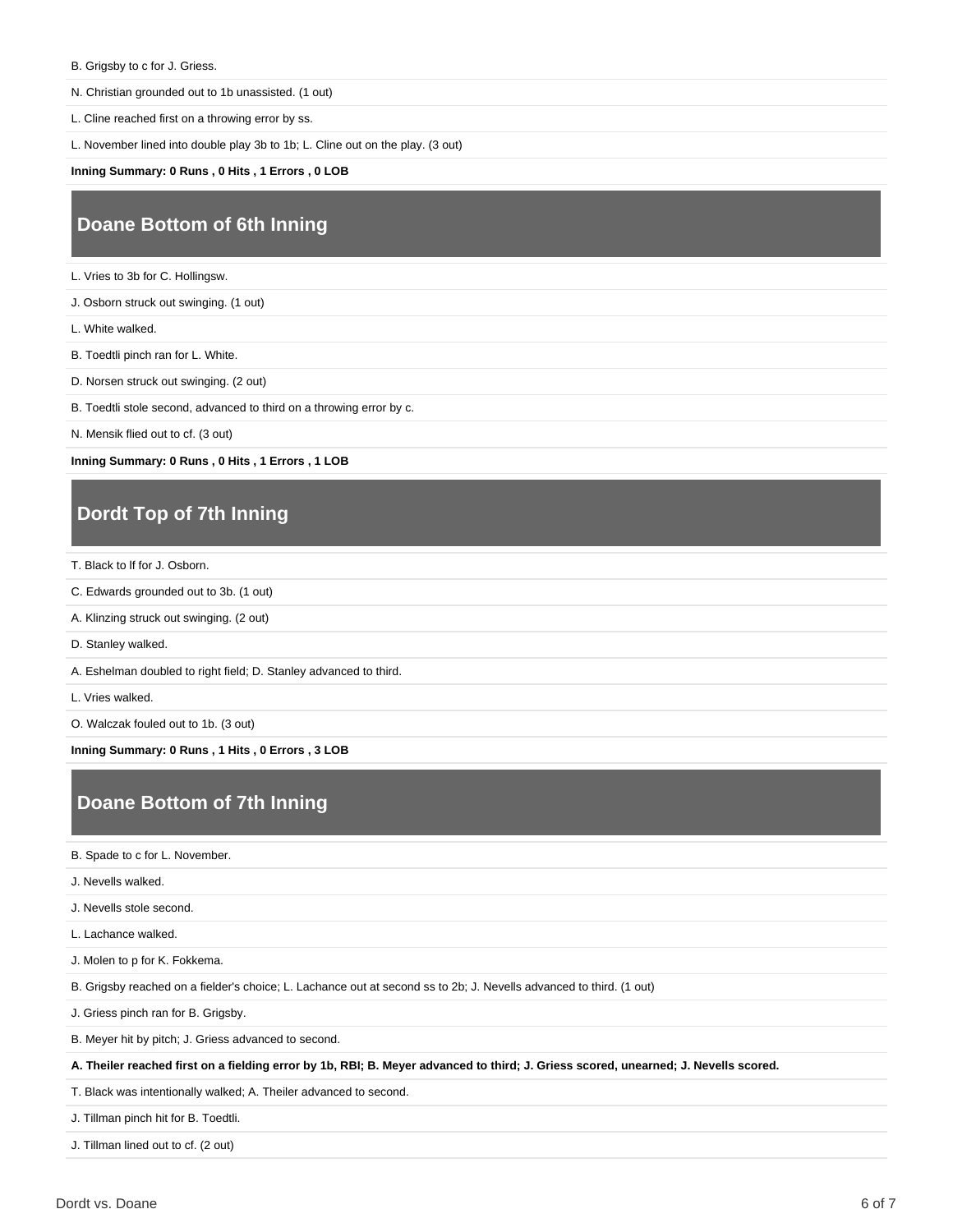- B. Grigsby to c for J. Griess.
- N. Christian grounded out to 1b unassisted. (1 out)
- L. Cline reached first on a throwing error by ss.

L. November lined into double play 3b to 1b; L. Cline out on the play. (3 out)

**Inning Summary: 0 Runs , 0 Hits , 1 Errors , 0 LOB**

### **Doane Bottom of 6th Inning**

L. Vries to 3b for C. Hollingsw.

J. Osborn struck out swinging. (1 out)

L. White walked.

- B. Toedtli pinch ran for L. White.
- D. Norsen struck out swinging. (2 out)
- B. Toedtli stole second, advanced to third on a throwing error by c.

N. Mensik flied out to cf. (3 out)

**Inning Summary: 0 Runs , 0 Hits , 1 Errors , 1 LOB**

### **Dordt Top of 7th Inning**

T. Black to lf for J. Osborn.

- C. Edwards grounded out to 3b. (1 out)
- A. Klinzing struck out swinging. (2 out)
- D. Stanley walked.
- A. Eshelman doubled to right field; D. Stanley advanced to third.
- L. Vries walked.

O. Walczak fouled out to 1b. (3 out)

**Inning Summary: 0 Runs , 1 Hits , 0 Errors , 3 LOB**

### **Doane Bottom of 7th Inning**

B. Spade to c for L. November.

J. Nevells walked.

J. Nevells stole second.

L. Lachance walked.

J. Molen to p for K. Fokkema.

B. Grigsby reached on a fielder's choice; L. Lachance out at second ss to 2b; J. Nevells advanced to third. (1 out)

J. Griess pinch ran for B. Grigsby.

B. Meyer hit by pitch; J. Griess advanced to second.

**A. Theiler reached first on a fielding error by 1b, RBI; B. Meyer advanced to third; J. Griess scored, unearned; J. Nevells scored.**

T. Black was intentionally walked; A. Theiler advanced to second.

J. Tillman pinch hit for B. Toedtli.

J. Tillman lined out to cf. (2 out)